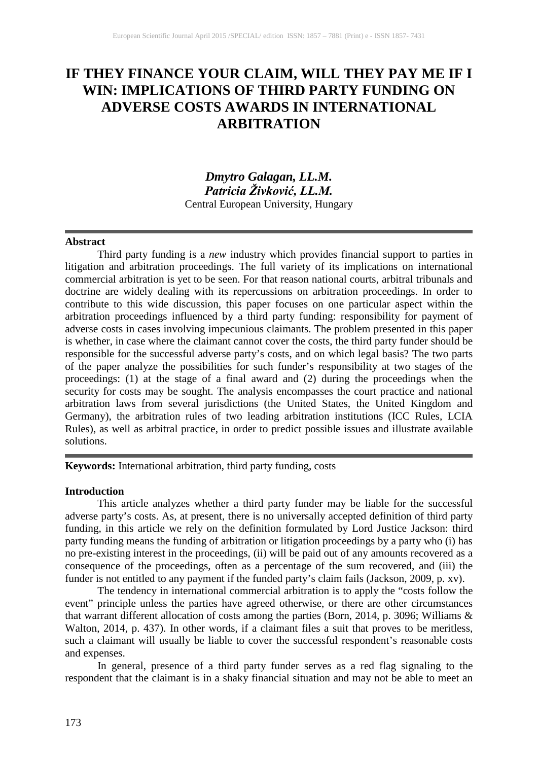# **IF THEY FINANCE YOUR CLAIM, WILL THEY PAY ME IF I WIN: IMPLICATIONS OF THIRD PARTY FUNDING ON ADVERSE COSTS AWARDS IN INTERNATIONAL ARBITRATION**

# *Dmytro Galagan, LL.M. Patricia Živković, LL.M.* Central European University, Hungary

#### **Abstract**

Third party funding is a *new* industry which provides financial support to parties in litigation and arbitration proceedings. The full variety of its implications on international commercial arbitration is yet to be seen. For that reason national courts, arbitral tribunals and doctrine are widely dealing with its repercussions on arbitration proceedings. In order to contribute to this wide discussion, this paper focuses on one particular aspect within the arbitration proceedings influenced by a third party funding: responsibility for payment of adverse costs in cases involving impecunious claimants. The problem presented in this paper is whether, in case where the claimant cannot cover the costs, the third party funder should be responsible for the successful adverse party's costs, and on which legal basis? The two parts of the paper analyze the possibilities for such funder's responsibility at two stages of the proceedings: (1) at the stage of a final award and (2) during the proceedings when the security for costs may be sought. The analysis encompasses the court practice and national arbitration laws from several jurisdictions (the United States, the United Kingdom and Germany), the arbitration rules of two leading arbitration institutions (ICC Rules, LCIA Rules), as well as arbitral practice, in order to predict possible issues and illustrate available solutions.

**Keywords:** International arbitration, third party funding, costs

## **Introduction**

This article analyzes whether a third party funder may be liable for the successful adverse party's costs. As, at present, there is no universally accepted definition of third party funding, in this article we rely on the definition formulated by Lord Justice Jackson: third party funding means the funding of arbitration or litigation proceedings by a party who (i) has no pre-existing interest in the proceedings, (ii) will be paid out of any amounts recovered as a consequence of the proceedings, often as a percentage of the sum recovered, and (iii) the funder is not entitled to any payment if the funded party's claim fails (Jackson, 2009, p. xv).

The tendency in international commercial arbitration is to apply the "costs follow the event" principle unless the parties have agreed otherwise, or there are other circumstances that warrant different allocation of costs among the parties (Born, 2014, p. 3096; Williams & Walton, 2014, p. 437). In other words, if a claimant files a suit that proves to be meritless, such a claimant will usually be liable to cover the successful respondent's reasonable costs and expenses.

In general, presence of a third party funder serves as a red flag signaling to the respondent that the claimant is in a shaky financial situation and may not be able to meet an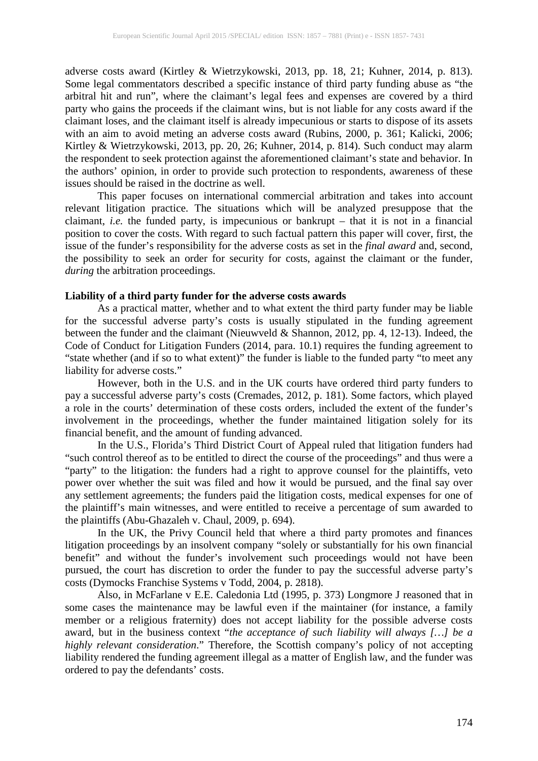adverse costs award (Kirtley & Wietrzykowski, 2013, pp. 18, 21; Kuhner, 2014, p. 813). Some legal commentators described a specific instance of third party funding abuse as "the arbitral hit and run", where the claimant's legal fees and expenses are covered by a third party who gains the proceeds if the claimant wins, but is not liable for any costs award if the claimant loses, and the claimant itself is already impecunious or starts to dispose of its assets with an aim to avoid meting an adverse costs award (Rubins, 2000, p. 361; Kalicki, 2006; Kirtley & Wietrzykowski, 2013, pp. 20, 26; Kuhner, 2014, p. 814). Such conduct may alarm the respondent to seek protection against the aforementioned claimant's state and behavior. In the authors' opinion, in order to provide such protection to respondents, awareness of these issues should be raised in the doctrine as well.

This paper focuses on international commercial arbitration and takes into account relevant litigation practice. The situations which will be analyzed presuppose that the claimant, *i.e.* the funded party, is impecunious or bankrupt – that it is not in a financial position to cover the costs. With regard to such factual pattern this paper will cover, first, the issue of the funder's responsibility for the adverse costs as set in the *final award* and, second, the possibility to seek an order for security for costs, against the claimant or the funder, *during* the arbitration proceedings.

### **Liability of a third party funder for the adverse costs awards**

As a practical matter, whether and to what extent the third party funder may be liable for the successful adverse party's costs is usually stipulated in the funding agreement between the funder and the claimant (Nieuwveld & Shannon, 2012, pp. 4, 12-13). Indeed, the Code of Conduct for Litigation Funders (2014, para. 10.1) requires the funding agreement to "state whether (and if so to what extent)" the funder is liable to the funded party "to meet any liability for adverse costs."

However, both in the U.S. and in the UK courts have ordered third party funders to pay a successful adverse party's costs (Cremades, 2012, p. 181). Some factors, which played a role in the courts' determination of these costs orders, included the extent of the funder's involvement in the proceedings, whether the funder maintained litigation solely for its financial benefit, and the amount of funding advanced.

In the U.S., Florida's Third District Court of Appeal ruled that litigation funders had "such control thereof as to be entitled to direct the course of the proceedings" and thus were a "party" to the litigation: the funders had a right to approve counsel for the plaintiffs, veto power over whether the suit was filed and how it would be pursued, and the final say over any settlement agreements; the funders paid the litigation costs, medical expenses for one of the plaintiff's main witnesses, and were entitled to receive a percentage of sum awarded to the plaintiffs (Abu-Ghazaleh v. Chaul, 2009, p. 694).

In the UK, the Privy Council held that where a third party promotes and finances litigation proceedings by an insolvent company "solely or substantially for his own financial benefit" and without the funder's involvement such proceedings would not have been pursued, the court has discretion to order the funder to pay the successful adverse party's costs (Dymocks Franchise Systems v Todd, 2004, p. 2818).

Also, in McFarlane v E.E. Caledonia Ltd (1995, p. 373) Longmore J reasoned that in some cases the maintenance may be lawful even if the maintainer (for instance, a family member or a religious fraternity) does not accept liability for the possible adverse costs award, but in the business context "*the acceptance of such liability will always […] be a highly relevant consideration*." Therefore, the Scottish company's policy of not accepting liability rendered the funding agreement illegal as a matter of English law, and the funder was ordered to pay the defendants' costs.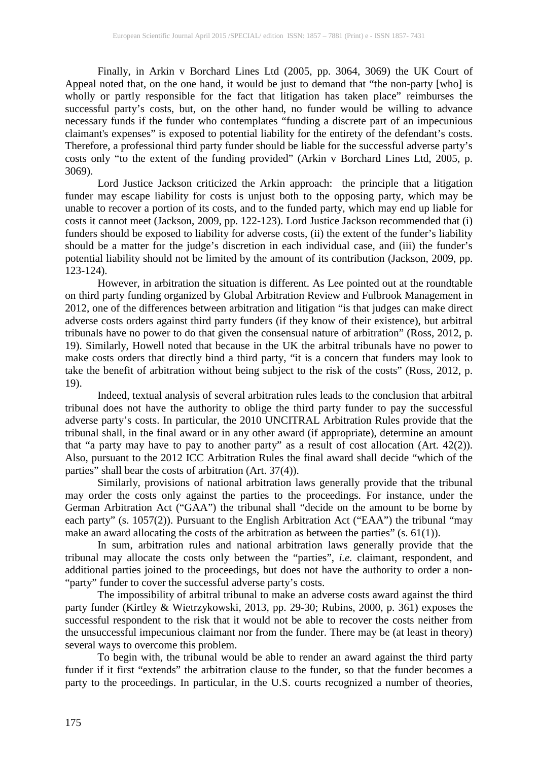Finally, in Arkin v Borchard Lines Ltd (2005, pp. 3064, 3069) the UK Court of Appeal noted that, on the one hand, it would be just to demand that "the non-party [who] is wholly or partly responsible for the fact that litigation has taken place" reimburses the successful party's costs, but, on the other hand, no funder would be willing to advance necessary funds if the funder who contemplates "funding a discrete part of an impecunious claimant's expenses" is exposed to potential liability for the entirety of the defendant's costs. Therefore, a professional third party funder should be liable for the successful adverse party's costs only "to the extent of the funding provided" (Arkin v Borchard Lines Ltd, 2005, p. 3069).

Lord Justice Jackson criticized the Arkin approach: the principle that a litigation funder may escape liability for costs is unjust both to the opposing party, which may be unable to recover a portion of its costs, and to the funded party, which may end up liable for costs it cannot meet (Jackson, 2009, pp. 122-123). Lord Justice Jackson recommended that (i) funders should be exposed to liability for adverse costs, (ii) the extent of the funder's liability should be a matter for the judge's discretion in each individual case, and (iii) the funder's potential liability should not be limited by the amount of its contribution (Jackson, 2009, pp. 123-124).

However, in arbitration the situation is different. As Lee pointed out at the roundtable on third party funding organized by Global Arbitration Review and Fulbrook Management in 2012, one of the differences between arbitration and litigation "is that judges can make direct adverse costs orders against third party funders (if they know of their existence), but arbitral tribunals have no power to do that given the consensual nature of arbitration" (Ross, 2012, p. 19). Similarly, Howell noted that because in the UK the arbitral tribunals have no power to make costs orders that directly bind a third party, "it is a concern that funders may look to take the benefit of arbitration without being subject to the risk of the costs" (Ross, 2012, p. 19).

Indeed, textual analysis of several arbitration rules leads to the conclusion that arbitral tribunal does not have the authority to oblige the third party funder to pay the successful adverse party's costs. In particular, the 2010 UNCITRAL Arbitration Rules provide that the tribunal shall, in the final award or in any other award (if appropriate), determine an amount that "a party may have to pay to another party" as a result of cost allocation (Art. 42(2)). Also, pursuant to the 2012 ICC Arbitration Rules the final award shall decide "which of the parties" shall bear the costs of arbitration (Art. 37(4)).

Similarly, provisions of national arbitration laws generally provide that the tribunal may order the costs only against the parties to the proceedings. For instance, under the German Arbitration Act ("GAA") the tribunal shall "decide on the amount to be borne by each party" (s. 1057(2)). Pursuant to the English Arbitration Act ("EAA") the tribunal "may make an award allocating the costs of the arbitration as between the parties"  $(s. 61(1))$ .

In sum, arbitration rules and national arbitration laws generally provide that the tribunal may allocate the costs only between the "parties", *i.e.* claimant, respondent, and additional parties joined to the proceedings, but does not have the authority to order a non- "party" funder to cover the successful adverse party's costs.

The impossibility of arbitral tribunal to make an adverse costs award against the third party funder (Kirtley & Wietrzykowski, 2013, pp. 29-30; Rubins, 2000, p. 361) exposes the successful respondent to the risk that it would not be able to recover the costs neither from the unsuccessful impecunious claimant nor from the funder. There may be (at least in theory) several ways to overcome this problem.

To begin with, the tribunal would be able to render an award against the third party funder if it first "extends" the arbitration clause to the funder, so that the funder becomes a party to the proceedings. In particular, in the U.S. courts recognized a number of theories,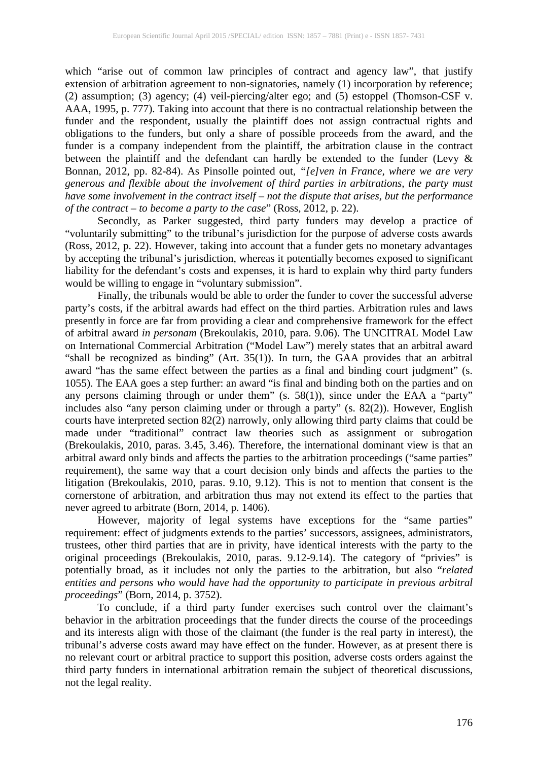which "arise out of common law principles of contract and agency law", that justify extension of arbitration agreement to non-signatories, namely (1) incorporation by reference; (2) assumption; (3) agency; (4) veil-piercing/alter ego; and (5) estoppel (Thomson-CSF v. AAA, 1995, p. 777). Taking into account that there is no contractual relationship between the funder and the respondent, usually the plaintiff does not assign contractual rights and obligations to the funders, but only a share of possible proceeds from the award, and the funder is a company independent from the plaintiff, the arbitration clause in the contract between the plaintiff and the defendant can hardly be extended to the funder (Levy & Bonnan, 2012, pp. 82-84). As Pinsolle pointed out, *"[e]ven in France, where we are very generous and flexible about the involvement of third parties in arbitrations, the party must have some involvement in the contract itself – not the dispute that arises, but the performance of the contract – to become a party to the case*" (Ross, 2012, p. 22).

Secondly, as Parker suggested, third party funders may develop a practice of "voluntarily submitting" to the tribunal's jurisdiction for the purpose of adverse costs awards (Ross, 2012, p. 22). However, taking into account that a funder gets no monetary advantages by accepting the tribunal's jurisdiction, whereas it potentially becomes exposed to significant liability for the defendant's costs and expenses, it is hard to explain why third party funders would be willing to engage in "voluntary submission".

Finally, the tribunals would be able to order the funder to cover the successful adverse party's costs, if the arbitral awards had effect on the third parties. Arbitration rules and laws presently in force are far from providing a clear and comprehensive framework for the effect of arbitral award *in personam* (Brekoulakis, 2010, para. 9.06). The UNCITRAL Model Law on International Commercial Arbitration ("Model Law") merely states that an arbitral award "shall be recognized as binding" (Art. 35(1)). In turn, the GAA provides that an arbitral award "has the same effect between the parties as a final and binding court judgment" (s. 1055). The EAA goes a step further: an award "is final and binding both on the parties and on any persons claiming through or under them" (s. 58(1)), since under the EAA a "party" includes also "any person claiming under or through a party" (s. 82(2)). However, English courts have interpreted section 82(2) narrowly, only allowing third party claims that could be made under "traditional" contract law theories such as assignment or subrogation (Brekoulakis, 2010, paras. 3.45, 3.46). Therefore, the international dominant view is that an arbitral award only binds and affects the parties to the arbitration proceedings ("same parties" requirement), the same way that a court decision only binds and affects the parties to the litigation (Brekoulakis, 2010, paras. 9.10, 9.12). This is not to mention that consent is the cornerstone of arbitration, and arbitration thus may not extend its effect to the parties that never agreed to arbitrate (Born, 2014, p. 1406).

However, majority of legal systems have exceptions for the "same parties" requirement: effect of judgments extends to the parties' successors, assignees, administrators, trustees, other third parties that are in privity, have identical interests with the party to the original proceedings (Brekoulakis, 2010, paras. 9.12-9.14). The category of "privies" is potentially broad, as it includes not only the parties to the arbitration, but also "*related entities and persons who would have had the opportunity to participate in previous arbitral proceedings*" (Born, 2014, p. 3752).

To conclude, if a third party funder exercises such control over the claimant's behavior in the arbitration proceedings that the funder directs the course of the proceedings and its interests align with those of the claimant (the funder is the real party in interest), the tribunal's adverse costs award may have effect on the funder. However, as at present there is no relevant court or arbitral practice to support this position, adverse costs orders against the third party funders in international arbitration remain the subject of theoretical discussions, not the legal reality.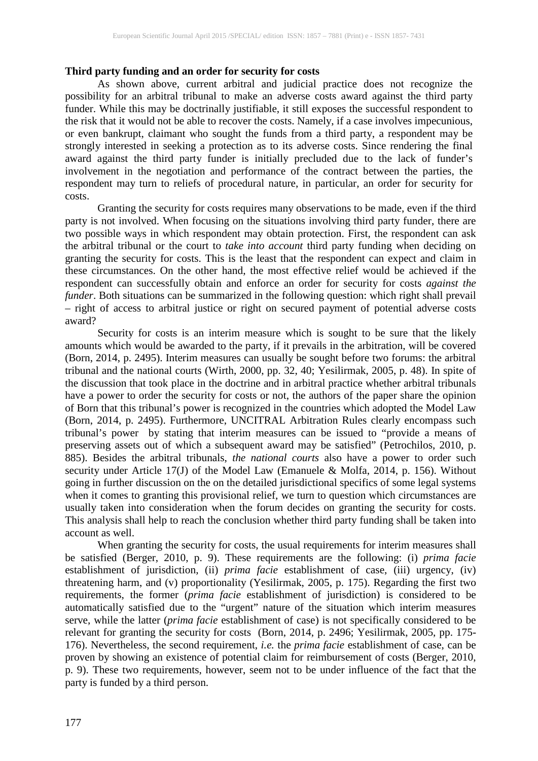#### **Third party funding and an order for security for costs**

As shown above, current arbitral and judicial practice does not recognize the possibility for an arbitral tribunal to make an adverse costs award against the third party funder. While this may be doctrinally justifiable, it still exposes the successful respondent to the risk that it would not be able to recover the costs. Namely, if a case involves impecunious, or even bankrupt, claimant who sought the funds from a third party, a respondent may be strongly interested in seeking a protection as to its adverse costs. Since rendering the final award against the third party funder is initially precluded due to the lack of funder's involvement in the negotiation and performance of the contract between the parties, the respondent may turn to reliefs of procedural nature, in particular, an order for security for costs.

Granting the security for costs requires many observations to be made, even if the third party is not involved. When focusing on the situations involving third party funder, there are two possible ways in which respondent may obtain protection. First, the respondent can ask the arbitral tribunal or the court to *take into account* third party funding when deciding on granting the security for costs. This is the least that the respondent can expect and claim in these circumstances. On the other hand, the most effective relief would be achieved if the respondent can successfully obtain and enforce an order for security for costs *against the funder*. Both situations can be summarized in the following question: which right shall prevail – right of access to arbitral justice or right on secured payment of potential adverse costs award?

Security for costs is an interim measure which is sought to be sure that the likely amounts which would be awarded to the party, if it prevails in the arbitration, will be covered (Born, 2014, p. 2495). Interim measures can usually be sought before two forums: the arbitral tribunal and the national courts (Wirth, 2000, pp. 32, 40; Yesilirmak, 2005, p. 48). In spite of the discussion that took place in the doctrine and in arbitral practice whether arbitral tribunals have a power to order the security for costs or not, the authors of the paper share the opinion of Born that this tribunal's power is recognized in the countries which adopted the Model Law (Born, 2014, p. 2495). Furthermore, UNCITRAL Arbitration Rules clearly encompass such tribunal's power by stating that interim measures can be issued to "provide a means of preserving assets out of which a subsequent award may be satisfied" (Petrochilos, 2010, p. 885). Besides the arbitral tribunals, *the national courts* also have a power to order such security under Article 17(J) of the Model Law (Emanuele & Molfa, 2014, p. 156). Without going in further discussion on the on the detailed jurisdictional specifics of some legal systems when it comes to granting this provisional relief, we turn to question which circumstances are usually taken into consideration when the forum decides on granting the security for costs. This analysis shall help to reach the conclusion whether third party funding shall be taken into account as well.

When granting the security for costs, the usual requirements for interim measures shall be satisfied (Berger, 2010, p. 9). These requirements are the following: (i) *prima facie* establishment of jurisdiction, (ii) *prima facie* establishment of case, (iii) urgency, (iv) threatening harm, and (v) proportionality (Yesilirmak, 2005, p. 175). Regarding the first two requirements, the former (*prima facie* establishment of jurisdiction) is considered to be automatically satisfied due to the "urgent" nature of the situation which interim measures serve, while the latter (*prima facie* establishment of case) is not specifically considered to be relevant for granting the security for costs (Born, 2014, p. 2496; Yesilirmak, 2005, pp. 175- 176). Nevertheless, the second requirement, *i.e.* the *prima facie* establishment of case, can be proven by showing an existence of potential claim for reimbursement of costs (Berger, 2010, p. 9). These two requirements, however, seem not to be under influence of the fact that the party is funded by a third person.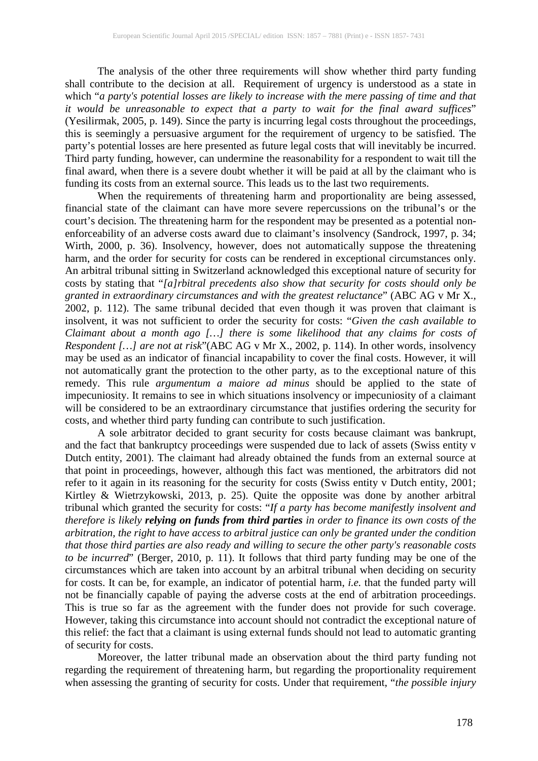The analysis of the other three requirements will show whether third party funding shall contribute to the decision at all. Requirement of urgency is understood as a state in which "*a party's potential losses are likely to increase with the mere passing of time and that it would be unreasonable to expect that a party to wait for the final award suffices*" (Yesilirmak, 2005, p. 149). Since the party is incurring legal costs throughout the proceedings, this is seemingly a persuasive argument for the requirement of urgency to be satisfied. The party's potential losses are here presented as future legal costs that will inevitably be incurred. Third party funding, however, can undermine the reasonability for a respondent to wait till the final award, when there is a severe doubt whether it will be paid at all by the claimant who is funding its costs from an external source. This leads us to the last two requirements.

When the requirements of threatening harm and proportionality are being assessed, financial state of the claimant can have more severe repercussions on the tribunal's or the court's decision. The threatening harm for the respondent may be presented as a potential nonenforceability of an adverse costs award due to claimant's insolvency (Sandrock, 1997, p. 34; Wirth, 2000, p. 36). Insolvency, however, does not automatically suppose the threatening harm, and the order for security for costs can be rendered in exceptional circumstances only. An arbitral tribunal sitting in Switzerland acknowledged this exceptional nature of security for costs by stating that "*[a]rbitral precedents also show that security for costs should only be granted in extraordinary circumstances and with the greatest reluctance*" (ABC AG v Mr X., 2002, p. 112). The same tribunal decided that even though it was proven that claimant is insolvent, it was not sufficient to order the security for costs: "*Given the cash available to Claimant about a month ago […] there is some likelihood that any claims for costs of Respondent […] are not at risk*"(ABC AG v Mr X., 2002, p. 114). In other words, insolvency may be used as an indicator of financial incapability to cover the final costs. However, it will not automatically grant the protection to the other party, as to the exceptional nature of this remedy. This rule *argumentum a maiore ad minus* should be applied to the state of impecuniosity. It remains to see in which situations insolvency or impecuniosity of a claimant will be considered to be an extraordinary circumstance that justifies ordering the security for costs, and whether third party funding can contribute to such justification.

A sole arbitrator decided to grant security for costs because claimant was bankrupt, and the fact that bankruptcy proceedings were suspended due to lack of assets (Swiss entity v Dutch entity, 2001). The claimant had already obtained the funds from an external source at that point in proceedings, however, although this fact was mentioned, the arbitrators did not refer to it again in its reasoning for the security for costs (Swiss entity v Dutch entity, 2001; Kirtley & Wietrzykowski, 2013, p. 25). Quite the opposite was done by another arbitral tribunal which granted the security for costs: "*If a party has become manifestly insolvent and therefore is likely relying on funds from third parties in order to finance its own costs of the arbitration, the right to have access to arbitral justice can only be granted under the condition that those third parties are also ready and willing to secure the other party's reasonable costs to be incurred*" (Berger, 2010, p. 11). It follows that third party funding may be one of the circumstances which are taken into account by an arbitral tribunal when deciding on security for costs. It can be, for example, an indicator of potential harm, *i.e.* that the funded party will not be financially capable of paying the adverse costs at the end of arbitration proceedings. This is true so far as the agreement with the funder does not provide for such coverage. However, taking this circumstance into account should not contradict the exceptional nature of this relief: the fact that a claimant is using external funds should not lead to automatic granting of security for costs.

Moreover, the latter tribunal made an observation about the third party funding not regarding the requirement of threatening harm, but regarding the proportionality requirement when assessing the granting of security for costs. Under that requirement, "*the possible injury*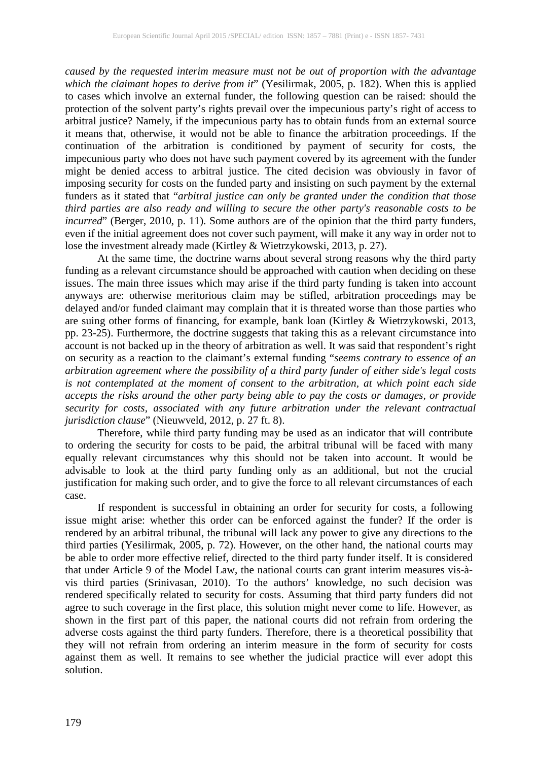*caused by the requested interim measure must not be out of proportion with the advantage which the claimant hopes to derive from it*" (Yesilirmak, 2005, p. 182). When this is applied to cases which involve an external funder, the following question can be raised: should the protection of the solvent party's rights prevail over the impecunious party's right of access to arbitral justice? Namely, if the impecunious party has to obtain funds from an external source it means that, otherwise, it would not be able to finance the arbitration proceedings. If the continuation of the arbitration is conditioned by payment of security for costs, the impecunious party who does not have such payment covered by its agreement with the funder might be denied access to arbitral justice. The cited decision was obviously in favor of imposing security for costs on the funded party and insisting on such payment by the external funders as it stated that "*arbitral justice can only be granted under the condition that those third parties are also ready and willing to secure the other party's reasonable costs to be incurred*" (Berger, 2010, p. 11). Some authors are of the opinion that the third party funders, even if the initial agreement does not cover such payment, will make it any way in order not to lose the investment already made (Kirtley & Wietrzykowski, 2013, p. 27).

At the same time, the doctrine warns about several strong reasons why the third party funding as a relevant circumstance should be approached with caution when deciding on these issues. The main three issues which may arise if the third party funding is taken into account anyways are: otherwise meritorious claim may be stifled, arbitration proceedings may be delayed and/or funded claimant may complain that it is threated worse than those parties who are suing other forms of financing, for example, bank loan (Kirtley & Wietrzykowski, 2013, pp. 23-25). Furthermore, the doctrine suggests that taking this as a relevant circumstance into account is not backed up in the theory of arbitration as well. It was said that respondent's right on security as a reaction to the claimant's external funding "*seems contrary to essence of an arbitration agreement where the possibility of a third party funder of either side's legal costs is not contemplated at the moment of consent to the arbitration, at which point each side accepts the risks around the other party being able to pay the costs or damages, or provide security for costs, associated with any future arbitration under the relevant contractual jurisdiction clause*" (Nieuwveld, 2012, p. 27 ft. 8).

Therefore, while third party funding may be used as an indicator that will contribute to ordering the security for costs to be paid, the arbitral tribunal will be faced with many equally relevant circumstances why this should not be taken into account. It would be advisable to look at the third party funding only as an additional, but not the crucial justification for making such order, and to give the force to all relevant circumstances of each case.

If respondent is successful in obtaining an order for security for costs, a following issue might arise: whether this order can be enforced against the funder? If the order is rendered by an arbitral tribunal, the tribunal will lack any power to give any directions to the third parties (Yesilirmak, 2005, p. 72). However, on the other hand, the national courts may be able to order more effective relief, directed to the third party funder itself. It is considered that under Article 9 of the Model Law, the national courts can grant interim measures vis-àvis third parties (Srinivasan, 2010). To the authors' knowledge, no such decision was rendered specifically related to security for costs. Assuming that third party funders did not agree to such coverage in the first place, this solution might never come to life. However, as shown in the first part of this paper, the national courts did not refrain from ordering the adverse costs against the third party funders. Therefore, there is a theoretical possibility that they will not refrain from ordering an interim measure in the form of security for costs against them as well. It remains to see whether the judicial practice will ever adopt this solution.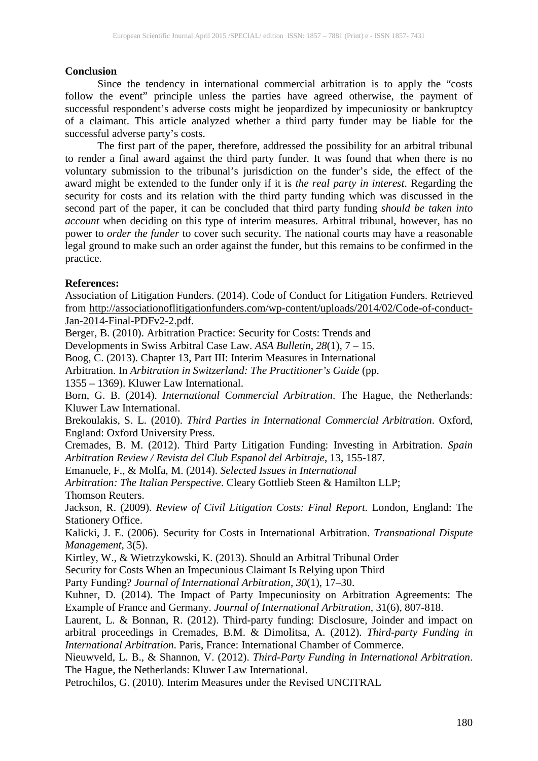#### **Conclusion**

Since the tendency in international commercial arbitration is to apply the "costs follow the event" principle unless the parties have agreed otherwise, the payment of successful respondent's adverse costs might be jeopardized by impecuniosity or bankruptcy of a claimant. This article analyzed whether a third party funder may be liable for the successful adverse party's costs.

The first part of the paper, therefore, addressed the possibility for an arbitral tribunal to render a final award against the third party funder. It was found that when there is no voluntary submission to the tribunal's jurisdiction on the funder's side, the effect of the award might be extended to the funder only if it is *the real party in interest*. Regarding the security for costs and its relation with the third party funding which was discussed in the second part of the paper, it can be concluded that third party funding *should be taken into account* when deciding on this type of interim measures. Arbitral tribunal, however, has no power to *order the funder* to cover such security. The national courts may have a reasonable legal ground to make such an order against the funder, but this remains to be confirmed in the practice.

### **References:**

Association of Litigation Funders. (2014). Code of Conduct for Litigation Funders. Retrieved from [http://associationoflitigationfunders.com/wp-content/uploads/2014/02/Code-of-conduct-](http://associationoflitigationfunders.com/wp-content/uploads/2014/02/Code-of-conduct-Jan-2014-Final-PDFv2-2.pdf)[Jan-2014-Final-PDFv2-2.pdf.](http://associationoflitigationfunders.com/wp-content/uploads/2014/02/Code-of-conduct-Jan-2014-Final-PDFv2-2.pdf)

Berger, B. (2010). Arbitration Practice: Security for Costs: Trends and

Developments in Swiss Arbitral Case Law. *ASA Bulletin*, *28*(1), 7 – 15.

Boog, C. (2013). Chapter 13, Part III: Interim Measures in International

Arbitration. In *Arbitration in Switzerland: The Practitioner's Guide* (pp.

1355 – 1369). Kluwer Law International.

Born, G. B. (2014). *International Commercial Arbitration*. The Hague, the Netherlands: Kluwer Law International.

Brekoulakis, S. L. (2010). *Third Parties in International Commercial Arbitration*. Oxford, England: Oxford University Press.

Cremades, B. M. (2012). Third Party Litigation Funding: Investing in Arbitration. *Spain Arbitration Review / Revista del Club Espanol del Arbitraje*, 13, 155-187.

Emanuele, F., & Molfa, M. (2014). *Selected Issues in International*

*Arbitration: The Italian Perspective*. Cleary Gottlieb Steen & Hamilton LLP; Thomson Reuters.

Jackson, R. (2009). *Review of Civil Litigation Costs: Final Report.* London, England: The Stationery Office.

Kalicki, J. E. (2006). Security for Costs in International Arbitration. *Transnational Dispute Management*, 3(5).

Kirtley, W., & Wietrzykowski, K. (2013). Should an Arbitral Tribunal Order

Security for Costs When an Impecunious Claimant Is Relying upon Third

Party Funding? *Journal of International Arbitration*, *30*(1), 17–30.

Kuhner, D. (2014). The Impact of Party Impecuniosity on Arbitration Agreements: The Example of France and Germany. *Journal of International Arbitration*, 31(6), 807-818.

Laurent, L. & Bonnan, R. (2012). Third-party funding: Disclosure, Joinder and impact on arbitral proceedings in Cremades, B.M. & Dimolitsa, A. (2012). *Third-party Funding in International Arbitration*. Paris, France: International Chamber of Commerce.

Nieuwveld, L. B., & Shannon, V. (2012). *Third-Party Funding in International Arbitration*. The Hague, the Netherlands: Kluwer Law International.

Petrochilos, G. (2010). Interim Measures under the Revised UNCITRAL